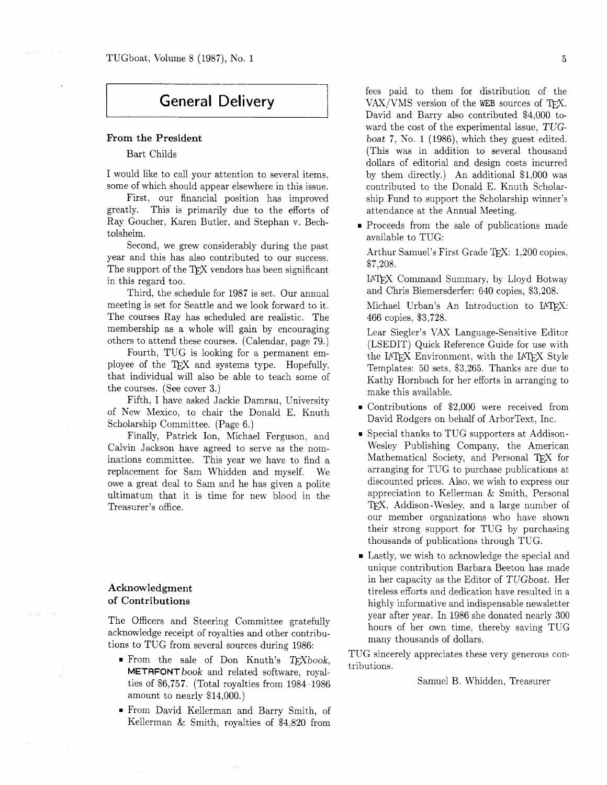# **General Delivery**

#### **From the President**

Bart Childs

I would like to call your attention to several items, some of which should appear elsewhere in this issue.

First, our financial position has improved greatly. This is primarily due to the efforts of Ray Goucher, Karen Butler, and Stephan v. Bechtolsheim.

Second, we grew considerably during the past year and this has also contributed to our success. The support of the TFX vendors has been significant in this regard too.

Third, the schedule for 1987 is set. Our annual meeting is set for Seattle and we look forward to it. The courses Ray has scheduled are realistic. The membership as a whole will gain by encouraging others to attend these courses. (Calendar, page 79.)

Fourth, TUG is looking for a permanent employee of the TEX and systems type. Hopefully, that individual will also be able to teach some of the courses. (See cover **3.)** 

Fifth, I have asked Jackie Damrau, University of New Mexico, to chair the Donald E. Knuth Scholarship Committee. (Page 6.)

Finally, Patrick Ion, Michael Ferguson, and Calvin Jackson have agreed to serve as the nominations committee. This year we have to find a replacement for Sam Whidden and myself. We owe a great deal to Sam and he has given a polite ultimatum that it is time for new blood in the Treasurer's office.

# **Acknowledgment of Contributions**

The Officers and Steering Committee gratefully acknowledge receipt of royalties and other contributions to TUG from several sources during 1986:

- From the sale of Don Knuth's  $T_F X book$ , METAFONTbook and related software, royalties of \$6,757. (Total royalties from 1984-1986 amount to nearly \$14,000.)
- From David Kellerman and Barry Smith, of Kellerman & Smith, royalties of \$4,820 from

fees paid to them for distribution of the  $VAX/VMS$  version of the WEB sources of TFX. David and Barry also contributed \$4,000 toward the cost of the experimental issue, TUGboat 7, No. 1 (1986), which they guest edited. (This was in addition to several thousand dollars of editorial and design costs incurred by them directly.) An additional \$1,000 was contributed to the Donald E. Knuth Scholarship Fund to support the Scholarship winner's attendance at the Annual Meeting.

**Proceeds from the sale of publications made** available to TUG:

Arthur Samuel's First Grade TFX: 1.200 copies. \$7,208.

IATFX Command Summary, by Lloyd Botway and Chris Biemersderfer: 640 copies, \$3,208.

Michael Urban's An Introduction to UTpJ: 466 copies. \$3,728.

Lear Siegler's VAX Language-Sensitive Editor (LSEDIT) Quick Reference Guide for use with the LAT<sub>F</sub>X Environment, with the LAT<sub>F</sub>X Style Templates: 50 sets, \$3,265. Thanks are due to Kathy Hornbach for her efforts in arranging to make this available.

- Contributions of \$2,000 were received from David Rodgers on behalf of ArborText, Inc.
- = Special thanks to TUG supporters at Addison-Wesley Publishing Company, the American Mathematical Society, and Personal TFX for arranging for TUG to purchase publications at discounted prices. Also, we wish to express our appreciation to Kellerman & Smith. Personal TFX, Addison-Wesley, and a large number of our member organizations who have shown their strong support for TUG by purchasing thousands of publications through TUG.
- **Lastly, we wish to acknowledge the special and** unique contribution Barbara Beeton has made in her capacity as the Editor of TUGboat. Her tireless efforts and dedication have resulted in a highly informative and indispensable newsletter year after year. In 1986 she donated nearly 300 hours of her own time, thereby saving TUG many thousands of dollars.

TUG sincerely appreciates these very generous contributions.

Samuel B. Whidden. Treasurer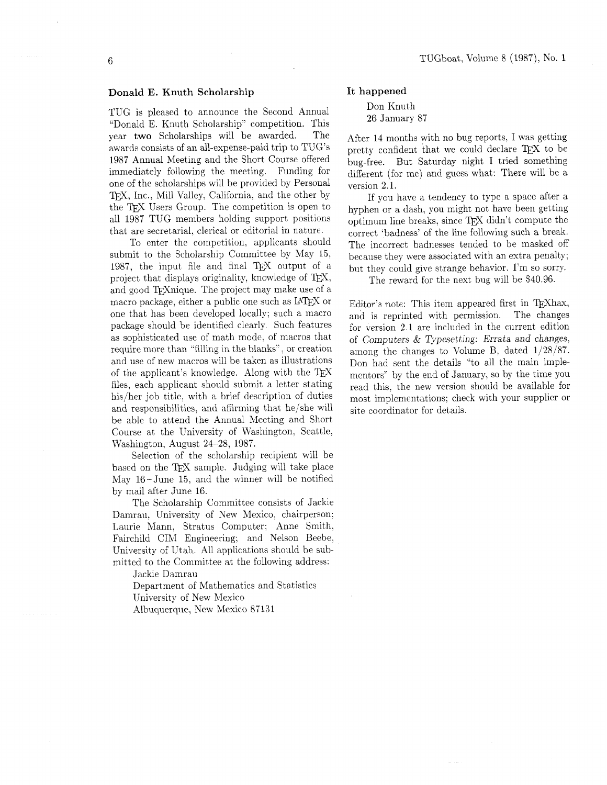# Donald E. Knuth Scholarship

TUG is pleased to announce the Second Annual "Donald E. Knuth Scholarship" competition. This year two Scholarships will be awarded. The awards consists of an all-expense-paid trip to TUG'S 1987 Annual Meeting and the Short Course offered immediately following the meeting. Funding for one of the scholarships will be provided by Personal TFX, Inc., Mill Valley, California, and the other by the T<sub>F</sub>X Users Group. The competition is open to all 1987 TUG members holding support positions that are secretarial. clerical or editorial in nature.

To enter the competition, applicants should submit to the Scholarship Committee by May 15. 1987, the input file and final  $T_F X$  output of a project that displays originality, knowledge of TEX, and good TEXnique. The project may make use of a macro package, either a public one such as IATFX or one that has been developed locally; such a macro package should be identified clearly. Such features as sophisticated use of math mode. of macros that require more than "filling in the blanks", or creation and use of new macros will be taken as illustrations of the applicant's knowledge. Along with the  $T_F X$ files, each applicant should submit a letter stating his/her job title, with a brief description of duties and responsibilities, and affirming that he/she will be able to attend the Annual Meeting and Short Course at the University of Washington, Seattle, Washington, August 24-28, 1987.

Selection of the scholarship recipient will be based on the TEX sample. Judging will take place May 16-June 15, and the winner will be notified by mail after June 16.

The Scholarship Committee consists of Jackie Damrau. University of New Mexico, chairperson; Laurie Mann, Stratus Computer; Anne Smith, Fairchild CIM Engineering: and Nelson Beebe, University of Utah. All applications should be submitted to the Committee at the following address:

Jackie Damrau

Department of Mathematics and Statistics University of New Mexico Albuquerque, New Mexico 87131

#### It happened

Don Knuth 26 January 87

After 14 months with no bug reports, I was getting pretty confident that we could declare TEX to be bug-free. But Saturday night I tried something different (for me) and guess what: There will be a version 2.1.

If you have a tendency to type a space after a hyphen or a dash, you might not have been getting optimum line breaks, since TFX didn't compute the correct 'badness' of the line following such a break. The incorrect badnesses tended to be masked off because they were associated with an extra penalty; but they could give strange behavior. I'm so sorry.

The reward for the next bug will be \$40.96.

Editor's note: This item appeared first in T<sub>E</sub>Xhax. and is reprinted with permission. The changes for version 2.1 are included in the current edition of Computers & Typesetting: Errata and changes, among the changes to Volume B, dated 1/28/87. Don had sent the details "to all the main implementors" by the end of January, so by the time you read this. the new version should be available for most implementations; check with your supplier or site coordinator for details.